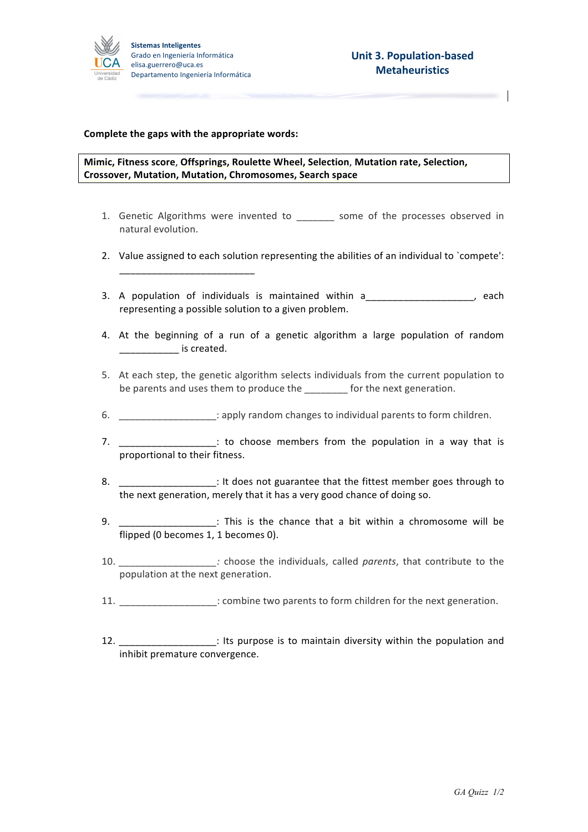

### **Complete the gaps with the appropriate words:**

\_\_\_\_\_\_\_\_\_\_\_\_\_\_\_\_\_\_\_\_\_\_\_\_\_

## **Mimic, Fitness score**, **Offsprings, Roulette Wheel, Selection**, **Mutation rate, Selection, Crossover, Mutation, Mutation, Chromosomes, Search space**

- 1. Genetic Algorithms were invented to some of the processes observed in natural evolution.
- 2. Value assigned to each solution representing the abilities of an individual to `compete':
- 3. A population of individuals is maintained within a manuscription of individuals is maintained within a representing a possible solution to a given problem.
- 4. At the beginning of a run of a genetic algorithm a large population of random  $\blacksquare$  is created.
- 5. At each step, the genetic algorithm selects individuals from the current population to be parents and uses them to produce the for the next generation.
- 6. **Example 20** : apply random changes to individual parents to form children.
- 7. \_\_\_\_\_\_\_\_\_\_\_\_\_\_\_\_\_\_: to choose members from the population in a way that is proportional to their fitness.
- 8. \_\_\_\_\_\_\_\_\_\_\_\_\_\_\_\_\_\_\_: It does not guarantee that the fittest member goes through to the next generation, merely that it has a very good chance of doing so.
- 9. **Example 2** : This is the chance that a bit within a chromosome will be flipped (0 becomes 1, 1 becomes 0).
- 10. *\_\_\_\_\_\_\_\_\_\_\_\_\_\_\_\_\_\_\_\_\_\_\_\_\_\_:* choose the individuals, called *parents*, that contribute to the population at the next generation.
- 11. **11. Example 10**  $\cdot$  combine two parents to form children for the next generation.
- 12. **Example 1** its purpose is to maintain diversity within the population and inhibit premature convergence.